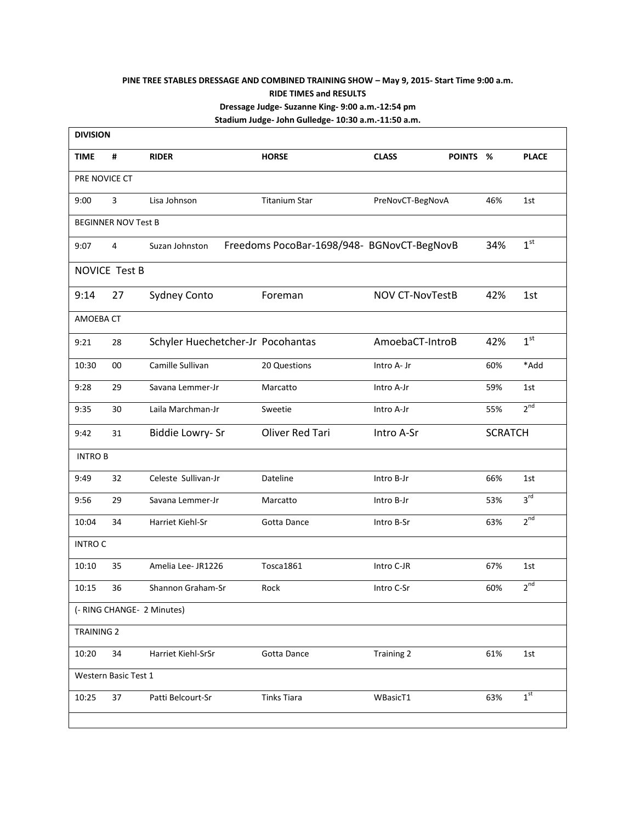## **PINE TREE STABLES DRESSAGE AND COMBINED TRAINING SHOW – May 9, 2015- Start Time 9:00 a.m. RIDE TIMES and RESULTS Dressage Judge- Suzanne King- 9:00 a.m.-12:54 pm Stadium Judge- John Gulledge- 10:30 a.m.-11:50 a.m.**

| <b>DIVISION</b>            |                   |                                   |                                            |                        |          |                |                 |  |
|----------------------------|-------------------|-----------------------------------|--------------------------------------------|------------------------|----------|----------------|-----------------|--|
| <b>TIME</b>                | #                 | <b>RIDER</b>                      | <b>HORSE</b>                               | <b>CLASS</b>           | POINTS % |                | <b>PLACE</b>    |  |
| PRE NOVICE CT              |                   |                                   |                                            |                        |          |                |                 |  |
| 9:00                       | $\overline{3}$    | Lisa Johnson                      | <b>Titanium Star</b>                       | PreNovCT-BegNovA       |          | 46%            | 1st             |  |
| <b>BEGINNER NOV Test B</b> |                   |                                   |                                            |                        |          |                |                 |  |
| 9:07                       | 4                 | Suzan Johnston                    | Freedoms PocoBar-1698/948- BGNovCT-BegNovB |                        |          | 34%            | 1 <sup>st</sup> |  |
| NOVICE Test B              |                   |                                   |                                            |                        |          |                |                 |  |
| 9:14                       | 27                | <b>Sydney Conto</b>               | Foreman                                    | <b>NOV CT-NovTestB</b> |          | 42%            | 1st             |  |
|                            | AMOEBA CT         |                                   |                                            |                        |          |                |                 |  |
| 9:21                       | 28                | Schyler Huechetcher-Jr Pocohantas |                                            | AmoebaCT-IntroB        |          | 42%            | 1 <sup>st</sup> |  |
| 10:30                      | 00                | Camille Sullivan                  | 20 Questions                               | Intro A- Jr            |          | 60%            | *Add            |  |
| 9:28                       | 29                | Savana Lemmer-Jr                  | Marcatto                                   | Intro A-Jr             |          | 59%            | 1st             |  |
| 9:35                       | 30                | Laila Marchman-Jr                 | Sweetie                                    | Intro A-Jr             |          | 55%            | 2 <sup>nd</sup> |  |
| 9:42                       | 31                | Biddie Lowry- Sr                  | Oliver Red Tari                            | Intro A-Sr             |          | <b>SCRATCH</b> |                 |  |
| <b>INTRO B</b>             |                   |                                   |                                            |                        |          |                |                 |  |
| 9:49                       | 32                | Celeste Sullivan-Jr               | Dateline                                   | Intro B-Jr             |          | 66%            | 1st             |  |
| 9:56                       | 29                | Savana Lemmer-Jr                  | Marcatto                                   | Intro B-Jr             |          | 53%            | 3 <sup>rd</sup> |  |
| 10:04                      | 34                | Harriet Kiehl-Sr                  | Gotta Dance                                | Intro B-Sr             |          | 63%            | 2 <sup>nd</sup> |  |
| <b>INTRO C</b>             |                   |                                   |                                            |                        |          |                |                 |  |
| 10:10                      | 35                | Amelia Lee- JR1226                | Tosca1861                                  | Intro C-JR             |          | 67%            | 1st             |  |
| 10:15                      | 36                | Shannon Graham-Sr                 | Rock                                       | Intro C-Sr             |          | 60%            | $2^{nd}$        |  |
| (- RING CHANGE- 2 Minutes) |                   |                                   |                                            |                        |          |                |                 |  |
|                            | <b>TRAINING 2</b> |                                   |                                            |                        |          |                |                 |  |
| 10:20                      | 34                | Harriet Kiehl-SrSr                | Gotta Dance                                | <b>Training 2</b>      |          | 61%            | 1st             |  |
| Western Basic Test 1       |                   |                                   |                                            |                        |          |                |                 |  |
| 10:25                      | 37                | Patti Belcourt-Sr                 | <b>Tinks Tiara</b>                         | WBasicT1               |          | 63%            | 1 <sup>st</sup> |  |
|                            |                   |                                   |                                            |                        |          |                |                 |  |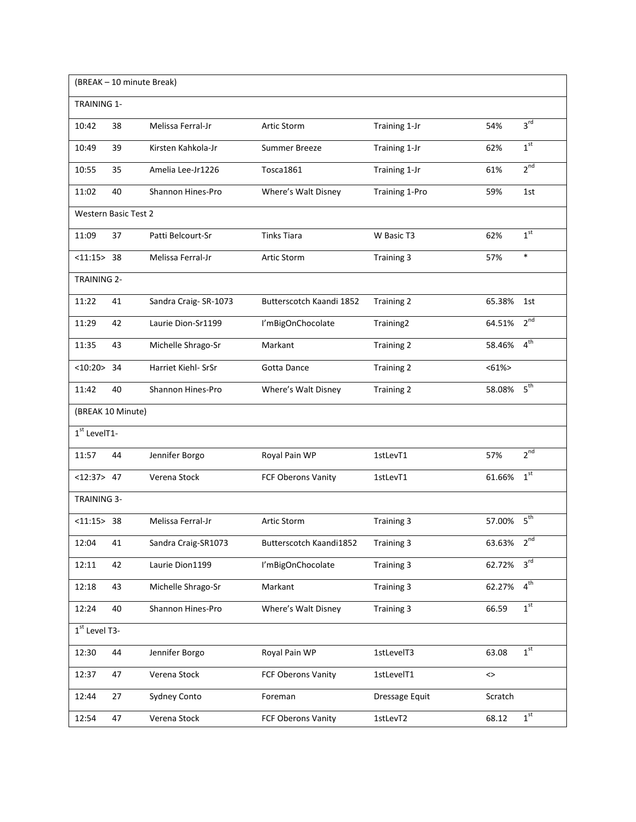| (BREAK - 10 minute Break)   |                   |                          |                          |                   |               |                 |  |  |  |
|-----------------------------|-------------------|--------------------------|--------------------------|-------------------|---------------|-----------------|--|--|--|
| <b>TRAINING 1-</b>          |                   |                          |                          |                   |               |                 |  |  |  |
| 10:42                       | 38                | Melissa Ferral-Jr        | Artic Storm              | Training 1-Jr     | 54%           | 3 <sup>rd</sup> |  |  |  |
| 10:49                       | 39                | Kirsten Kahkola-Jr       | Summer Breeze            | Training 1-Jr     | 62%           | 1 <sup>st</sup> |  |  |  |
| 10:55                       | 35                | Amelia Lee-Jr1226        | Tosca1861                | Training 1-Jr     | 61%           | 2 <sup>nd</sup> |  |  |  |
| 11:02                       | 40                | Shannon Hines-Pro        | Where's Walt Disney      | Training 1-Pro    | 59%           | 1st             |  |  |  |
| <b>Western Basic Test 2</b> |                   |                          |                          |                   |               |                 |  |  |  |
| 11:09                       | 37                | Patti Belcourt-Sr        | <b>Tinks Tiara</b>       | W Basic T3        | 62%           | 1 <sup>st</sup> |  |  |  |
| < 11:15 > 38                |                   | Melissa Ferral-Jr        | Artic Storm              | Training 3        | 57%           | $\ast$          |  |  |  |
| <b>TRAINING 2-</b>          |                   |                          |                          |                   |               |                 |  |  |  |
| 11:22                       | 41                | Sandra Craig-SR-1073     | Butterscotch Kaandi 1852 | Training 2        | 65.38%        | 1st             |  |  |  |
| 11:29                       | 42                | Laurie Dion-Sr1199       | I'mBigOnChocolate        | Training2         | 64.51%        | $2^{nd}$        |  |  |  |
| 11:35                       | 43                | Michelle Shrago-Sr       | Markant                  | Training 2        | 58.46%        | 4 <sup>th</sup> |  |  |  |
| <10:20>34                   |                   | Harriet Kiehl- SrSr      | Gotta Dance              | Training 2        | $< 61\%$      |                 |  |  |  |
| 11:42                       | 40                | <b>Shannon Hines-Pro</b> | Where's Walt Disney      | <b>Training 2</b> | 58.08%        | 5 <sup>th</sup> |  |  |  |
|                             | (BREAK 10 Minute) |                          |                          |                   |               |                 |  |  |  |
| $1st$ LevelT1-              |                   |                          |                          |                   |               |                 |  |  |  |
| 11:57                       | 44                | Jennifer Borgo           | Royal Pain WP            | 1stLevT1          | 57%           | 2 <sup>nd</sup> |  |  |  |
| <12:37>47                   |                   | Verena Stock             | FCF Oberons Vanity       | 1stLevT1          | 61.66%        | 1 <sup>st</sup> |  |  |  |
| <b>TRAINING 3-</b>          |                   |                          |                          |                   |               |                 |  |  |  |
| < 11:15 > 38                |                   | Melissa Ferral-Jr        | Artic Storm              | Training 3        | 57.00%        | 5 <sup>th</sup> |  |  |  |
| 12:04                       | 41                | Sandra Craig-SR1073      | Butterscotch Kaandi1852  | Training 3        | 63.63%        | $2^{nd}$        |  |  |  |
| 12:11                       | 42                | Laurie Dion1199          | I'mBigOnChocolate        | Training 3        | 62.72%        | 3 <sup>rd</sup> |  |  |  |
| 12:18                       | 43                | Michelle Shrago-Sr       | Markant                  | Training 3        | 62.27%        | 4 <sup>th</sup> |  |  |  |
| 12:24                       | 40                | Shannon Hines-Pro        | Where's Walt Disney      | Training 3        | 66.59         | 1 <sup>st</sup> |  |  |  |
| 1st Level T3-               |                   |                          |                          |                   |               |                 |  |  |  |
| 12:30                       | 44                | Jennifer Borgo           | Royal Pain WP            | 1stLevelT3        | 63.08         | 1 <sup>st</sup> |  |  |  |
| 12:37                       | 47                | Verena Stock             | FCF Oberons Vanity       | 1stLevelT1        | $\mathord{<}$ |                 |  |  |  |
| 12:44                       | 27                | Sydney Conto             | Foreman                  | Dressage Equit    | Scratch       |                 |  |  |  |
| 12:54                       | 47                | Verena Stock             | FCF Oberons Vanity       | 1stLevT2          | 68.12         | 1 <sup>st</sup> |  |  |  |